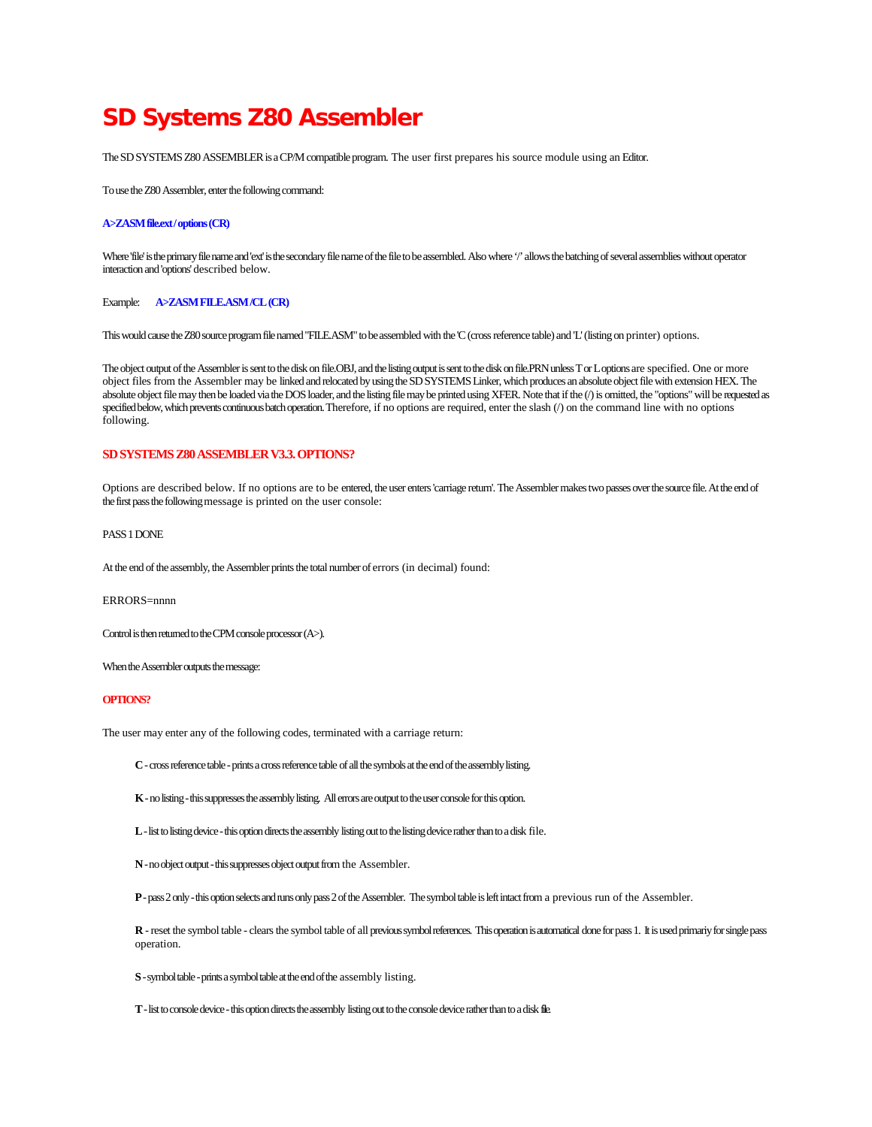# **SD Systems Z80 Assembler**

The SD SYSTEMS Z80 ASSEMBLER is a CP/M compatible program. The user first prepares his source module using an Editor.

To use the Z80 Assembler, enter the following command:

#### **A>ZASM file.ext / options (CR)**

Where 'file' is the primary file name and 'ext' is the secondary file name of the file to be assembled. Also where '/' allows the batching of several assemblies without operator interaction and 'options' described below.

Example: **A>ZASM FILE.ASM /CL (CR)**

This would cause the Z80 source program file named "FILE.ASM" to be assembled with the 'C (cross reference table) and 'L' (listing on printer) options.

The object output of the Assembler is sent to the disk on file.OBJ, and the listing output is sent to the disk on file.PRN unless T or L options are specified. One or more object files from the Assembler may be linked and relocated by using the SD SYSTEMS Linker, which produces an absolute object file with extension HEX. The absolute object file may then be loaded via the DOS loader, and the listing file may be printed using XFER. Note that if the (/) is omitted, the "options" will be requested as specified below, which prevents continuous batch operation. Therefore, if no options are required, enter the slash (/) on the command line with no options following.

# **SD SYSTEMS Z80 ASSEMBLER V3.3. OPTIONS?**

Options are described below. If no options are to be entered, the user enters 'carriage return'. The Assembler makes two passes over the source file. At the end of the first pass the following message is printed on the user console:

# PASS 1 DONE

At the end of the assembly, the Assembler prints the total number of errors (in decimal) found:

#### ERRORS=nnnn

Control is then returned to the CPM console processor (A>).

When the Assembler outputs the message:

## **OPTIONS?**

The user may enter any of the following codes, terminated with a carriage return:

**C** -cross reference table -prints a cross reference table of all the symbols at the end of the assembly listing.

**K** -no listing -this suppresses the assembly listing. Allerrors are output to the user console for this option.

**L** -list to listing device -this option directs the assembly listing out to the listing device rather than to a disk file.

**N**-no object output -this suppresses object output from the Assembler.

**P** -pass 2 only -this option selects and runs only pass 2 of the Assembler. The symbol table is left intact from a previous run of the Assembler.

**R** -reset the symbol table - clears the symbol table of all previous symbol references. This operation is automatical done for pass 1. It is used primariy for single pass operation.

**S** -symbol table -prints a symbol table at the end of the assembly listing.

**T** -list to console device -this option directs the assembly listing out to the console device rather than to a disk file.